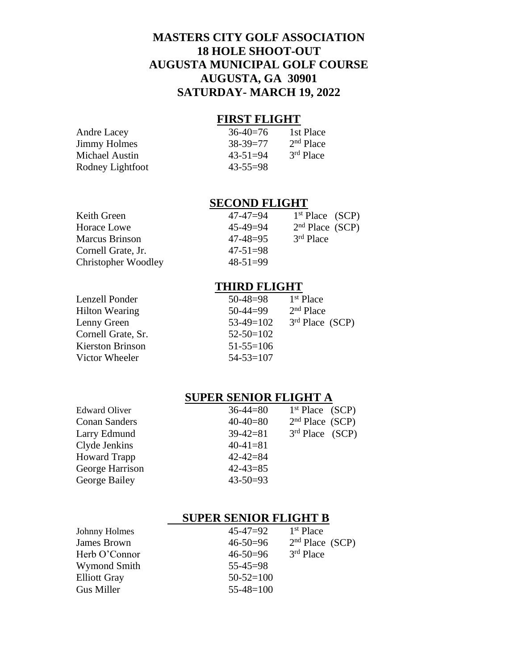# **MASTERS CITY GOLF ASSOCIATION 18 HOLE SHOOT-OUT AUGUSTA MUNICIPAL GOLF COURSE AUGUSTA, GA 30901 SATURDAY- MARCH 19, 2022**

### **FIRST FLIGHT**

| <b>Andre Lacey</b>  | $36-40=76$     | 1st Place   |
|---------------------|----------------|-------------|
| <b>Jimmy Holmes</b> | $38 - 39 = 77$ | $2nd$ Place |
| Michael Austin      | $43 - 51 = 94$ | $3rd$ Place |
| Rodney Lightfoot    | $43 - 55 = 98$ |             |

## **SECOND FLIGHT**

| 47-47=94       | 1 <sup>st</sup> Place (SCP) |
|----------------|-----------------------------|
| $45 - 49 = 94$ | 2 <sup>nd</sup> Place (SCP) |
| $47 - 48 = 95$ | $3rd$ Place                 |
| $47 - 51 = 98$ |                             |
| $48 - 51 = 99$ |                             |
|                |                             |

### **THIRD FLIGHT**

| $50 - 48 = 98$  | 1 <sup>st</sup> Place |
|-----------------|-----------------------|
| $50-44=99$      | $2nd$ Place           |
| $53-49=102$     | $3rd$ Place (SCP)     |
| $52 - 50 = 102$ |                       |
| $51 - 55 = 106$ |                       |
| $54 - 53 = 107$ |                       |
|                 |                       |

# **SUPER SENIOR FLIGHT A**

| <b>Edward Oliver</b> | $36 - 44 = 80$ | 1 <sup>st</sup> Place (SCP) |  |
|----------------------|----------------|-----------------------------|--|
| <b>Conan Sanders</b> | $40 - 40 = 80$ | 2 <sup>nd</sup> Place (SCP) |  |
| Larry Edmund         | $39-42=81$     | $3rd$ Place (SCP)           |  |
| Clyde Jenkins        | $40-41=81$     |                             |  |
| <b>Howard Trapp</b>  | $42 - 42 = 84$ |                             |  |
| George Harrison      | $42 - 43 = 85$ |                             |  |
| George Bailey        | $43 - 50 = 93$ |                             |  |
|                      |                |                             |  |

## **SUPER SENIOR FLIGHT B**

| Johnny Holmes       | $45 - 47 = 92$  | $1st$ Place                 |
|---------------------|-----------------|-----------------------------|
| <b>James Brown</b>  | $46 - 50 = 96$  | 2 <sup>nd</sup> Place (SCP) |
| Herb O'Connor       | $46 - 50 = 96$  | $3rd$ Place                 |
| Wymond Smith        | $55 - 45 = 98$  |                             |
| <b>Elliott Gray</b> | $50 - 52 = 100$ |                             |
| Gus Miller          | $55 - 48 = 100$ |                             |